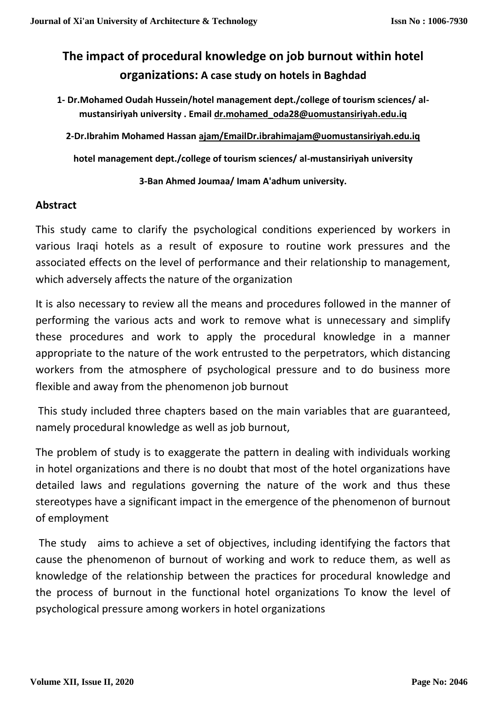# **The impact of procedural knowledge on job burnout within hotel organizations: A case study on hotels in Baghdad**

**1- Dr.Mohamed Oudah Hussein/hotel management dept./college of tourism sciences/ almustansiriyah university . Email [dr.mohamed\\_oda28@uomustansiriyah.edu.iq](mailto:dr.mohamed_oda28@uomustansiriyah.edu.iq)**

**2-Dr.Ibrahim Mohamed Hassan [ajam/EmailDr.ibrahimajam@uomustansiriyah.edu.iq](mailto:ajam/EmailDr.ibrahimajam@uomustansiriyah.edu.iq)**

**hotel management dept./college of tourism sciences/ al-mustansiriyah university**

**3-Ban Ahmed Joumaa/ Imam A'adhum university.**

## **Abstract**

This study came to clarify the psychological conditions experienced by workers in various Iraqi hotels as a result of exposure to routine work pressures and the associated effects on the level of performance and their relationship to management, which adversely affects the nature of the organization

It is also necessary to review all the means and procedures followed in the manner of performing the various acts and work to remove what is unnecessary and simplify these procedures and work to apply the procedural knowledge in a manner appropriate to the nature of the work entrusted to the perpetrators, which distancing workers from the atmosphere of psychological pressure and to do business more flexible and away from the phenomenon job burnout

This study included three chapters based on the main variables that are guaranteed, namely procedural knowledge as well as job burnout,

The problem of study is to exaggerate the pattern in dealing with individuals working in hotel organizations and there is no doubt that most of the hotel organizations have detailed laws and regulations governing the nature of the work and thus these stereotypes have a significant impact in the emergence of the phenomenon of burnout of employment

The study aims to achieve a set of objectives, including identifying the factors that cause the phenomenon of burnout of working and work to reduce them, as well as knowledge of the relationship between the practices for procedural knowledge and the process of burnout in the functional hotel organizations To know the level of psychological pressure among workers in hotel organizations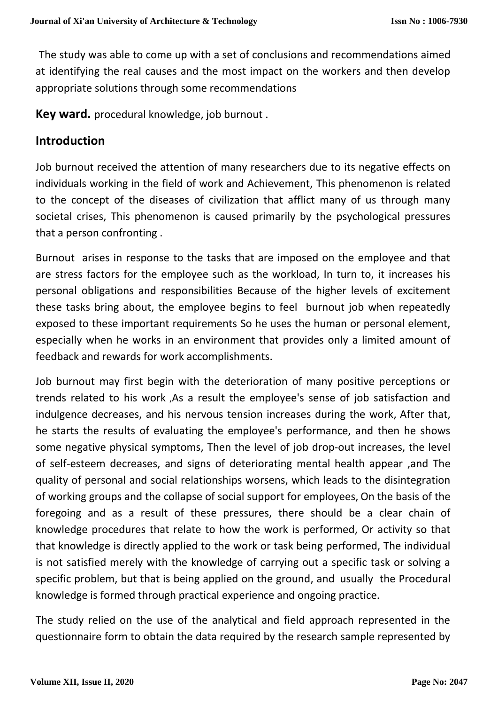The study was able to come up with a set of conclusions and recommendations aimed at identifying the real causes and the most impact on the workers and then develop appropriate solutions through some recommendations

**Key ward.** procedural knowledge, job burnout .

## **Introduction**

Job burnout received the attention of many researchers due to its negative effects on individuals working in the field of work and Achievement, This phenomenon is related to the concept of the diseases of civilization that afflict many of us through many societal crises, This phenomenon is caused primarily by the psychological pressures that a person confronting .

Burnout arises in response to the tasks that are imposed on the employee and that are stress factors for the employee such as the workload, In turn to, it increases his personal obligations and responsibilities Because of the higher levels of excitement these tasks bring about, the employee begins to feel burnout job when repeatedly exposed to these important requirements So he uses the human or personal element, especially when he works in an environment that provides only a limited amount of feedback and rewards for work accomplishments.

Job burnout may first begin with the deterioration of many positive perceptions or trends related to his work ,As a result the employee's sense of job satisfaction and indulgence decreases, and his nervous tension increases during the work, After that, he starts the results of evaluating the employee's performance, and then he shows some negative physical symptoms, Then the level of job drop-out increases, the level of self-esteem decreases, and signs of deteriorating mental health appear ,and The quality of personal and social relationships worsens, which leads to the disintegration of working groups and the collapse of social support for employees, On the basis of the foregoing and as a result of these pressures, there should be a clear chain of knowledge procedures that relate to how the work is performed, Or activity so that that knowledge is directly applied to the work or task being performed, The individual is not satisfied merely with the knowledge of carrying out a specific task or solving a specific problem, but that is being applied on the ground, and usually the Procedural knowledge is formed through practical experience and ongoing practice.

The study relied on the use of the analytical and field approach represented in the questionnaire form to obtain the data required by the research sample represented by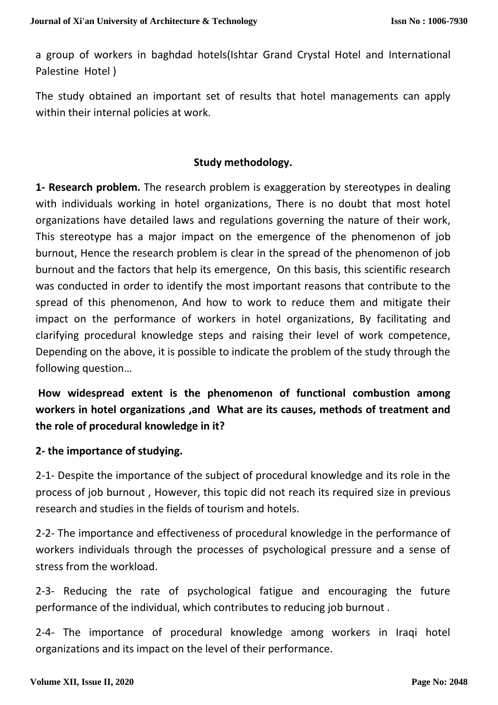a group of workers in baghdad hotels(Ishtar Grand Crystal Hotel and International Palestine Hotel )

The study obtained an important set of results that hotel managements can apply within their internal policies at work.

#### **Study methodology.**

**1- Research problem.** The research problem is exaggeration by stereotypes in dealing with individuals working in hotel organizations, There is no doubt that most hotel organizations have detailed laws and regulations governing the nature of their work, This stereotype has a major impact on the emergence of the phenomenon of job burnout, Hence the research problem is clear in the spread of the phenomenon of job burnout and the factors that help its emergence, On this basis, this scientific research was conducted in order to identify the most important reasons that contribute to the spread of this phenomenon, And how to work to reduce them and mitigate their impact on the performance of workers in hotel organizations, By facilitating and clarifying procedural knowledge steps and raising their level of work competence, Depending on the above, it is possible to indicate the problem of the study through the following question…

**How widespread extent is the phenomenon of functional combustion among workers in hotel organizations ,and What are its causes, methods of treatment and the role of procedural knowledge in it?**

#### **2- the importance of studying.**

2-1- Despite the importance of the subject of procedural knowledge and its role in the process of job burnout , However, this topic did not reach its required size in previous research and studies in the fields of tourism and hotels.

2-2- The importance and effectiveness of procedural knowledge in the performance of workers individuals through the processes of psychological pressure and a sense of stress from the workload.

2-3- Reducing the rate of psychological fatigue and encouraging the future performance of the individual, which contributes to reducing job burnout .

2-4- The importance of procedural knowledge among workers in Iraqi hotel organizations and its impact on the level of their performance.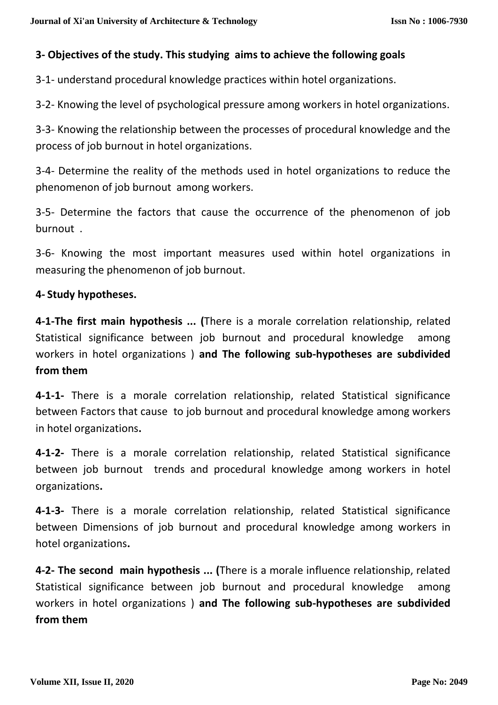## **3- Objectives of the study. This studying aims to achieve the following goals**

3-1- understand procedural knowledge practices within hotel organizations.

3-2- Knowing the level of psychological pressure among workers in hotel organizations.

3-3- Knowing the relationship between the processes of procedural knowledge and the process of job burnout in hotel organizations.

3-4- Determine the reality of the methods used in hotel organizations to reduce the phenomenon of job burnout among workers.

3-5- Determine the factors that cause the occurrence of the phenomenon of job burnout .

3-6- Knowing the most important measures used within hotel organizations in measuring the phenomenon of job burnout.

### **4- Study hypotheses.**

**4-1-The first main hypothesis ... (**There is a morale correlation relationship, related Statistical significance between job burnout and procedural knowledge among workers in hotel organizations ) **and The following sub-hypotheses are subdivided from them**

**4-1-1-** There is a morale correlation relationship, related Statistical significance between Factors that cause to job burnout and procedural knowledge among workers in hotel organizations**.**

**4-1-2-** There is a morale correlation relationship, related Statistical significance between job burnout trends and procedural knowledge among workers in hotel organizations**.**

**4-1-3-** There is a morale correlation relationship, related Statistical significance between Dimensions of job burnout and procedural knowledge among workers in hotel organizations**.**

**4-2- The second main hypothesis ... (**There is a morale influence relationship, related Statistical significance between job burnout and procedural knowledge among workers in hotel organizations ) **and The following sub-hypotheses are subdivided from them**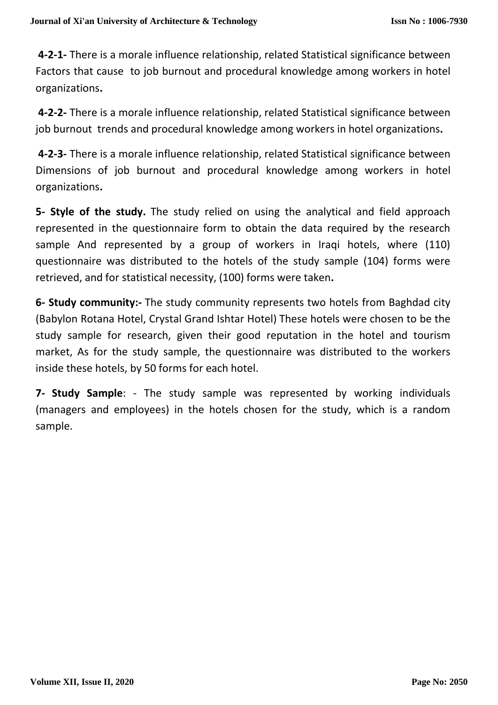**4-2-1-** There is a morale influence relationship, related Statistical significance between Factors that cause to job burnout and procedural knowledge among workers in hotel organizations**.**

**4-2-2-** There is a morale influence relationship, related Statistical significance between job burnout trends and procedural knowledge among workers in hotel organizations**.**

**4-2-3-** There is a morale influence relationship, related Statistical significance between Dimensions of job burnout and procedural knowledge among workers in hotel organizations**.**

**5- Style of the study.** The study relied on using the analytical and field approach represented in the questionnaire form to obtain the data required by the research sample And represented by a group of workers in Iraqi hotels, where (110) questionnaire was distributed to the hotels of the study sample (104) forms were retrieved, and for statistical necessity, (100) forms were taken**.**

**6- Study community:-** The study community represents two hotels from Baghdad city (Babylon Rotana Hotel, Crystal Grand Ishtar Hotel) These hotels were chosen to be the study sample for research, given their good reputation in the hotel and tourism market, As for the study sample, the questionnaire was distributed to the workers inside these hotels, by 50 forms for each hotel.

**7- Study Sample**: - The study sample was represented by working individuals (managers and employees) in the hotels chosen for the study, which is a random sample.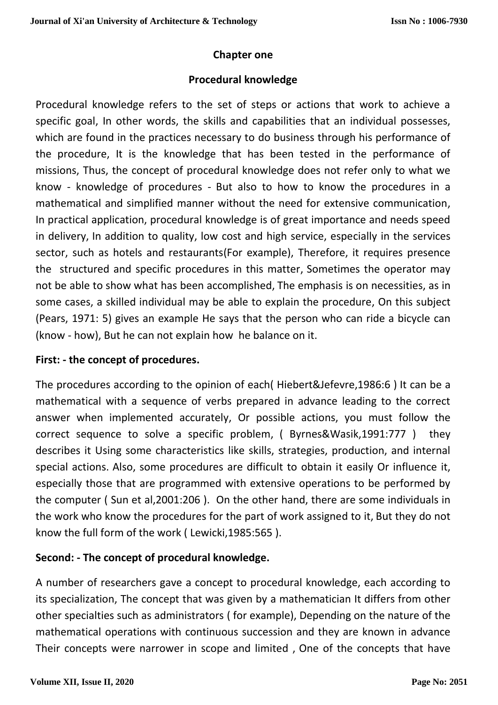### **Chapter one**

### **Procedural knowledge**

Procedural knowledge refers to the set of steps or actions that work to achieve a specific goal, In other words, the skills and capabilities that an individual possesses, which are found in the practices necessary to do business through his performance of the procedure, It is the knowledge that has been tested in the performance of missions, Thus, the concept of procedural knowledge does not refer only to what we know - knowledge of procedures - But also to how to know the procedures in a mathematical and simplified manner without the need for extensive communication, In practical application, procedural knowledge is of great importance and needs speed in delivery, In addition to quality, low cost and high service, especially in the services sector, such as hotels and restaurants(For example), Therefore, it requires presence the structured and specific procedures in this matter, Sometimes the operator may not be able to show what has been accomplished, The emphasis is on necessities, as in some cases, a skilled individual may be able to explain the procedure, On this subject (Pears, 1971: 5) gives an example He says that the person who can ride a bicycle can (know - how), But he can not explain how he balance on it.

## **First: - the concept of procedures.**

The procedures according to the opinion of each( Hiebert&Jefevre,1986:6 ) It can be a mathematical with a sequence of verbs prepared in advance leading to the correct answer when implemented accurately, Or possible actions, you must follow the correct sequence to solve a specific problem, ( Byrnes&Wasik,1991:777 ) they describes it Using some characteristics like skills, strategies, production, and internal special actions. Also, some procedures are difficult to obtain it easily Or influence it, especially those that are programmed with extensive operations to be performed by the computer ( Sun et al,2001:206 ). On the other hand, there are some individuals in the work who know the procedures for the part of work assigned to it, But they do not know the full form of the work ( Lewicki,1985:565 ).

## **Second: - The concept of procedural knowledge.**

A number of researchers gave a concept to procedural knowledge, each according to its specialization, The concept that was given by a mathematician It differs from other other specialties such as administrators ( for example), Depending on the nature of the mathematical operations with continuous succession and they are known in advance Their concepts were narrower in scope and limited , One of the concepts that have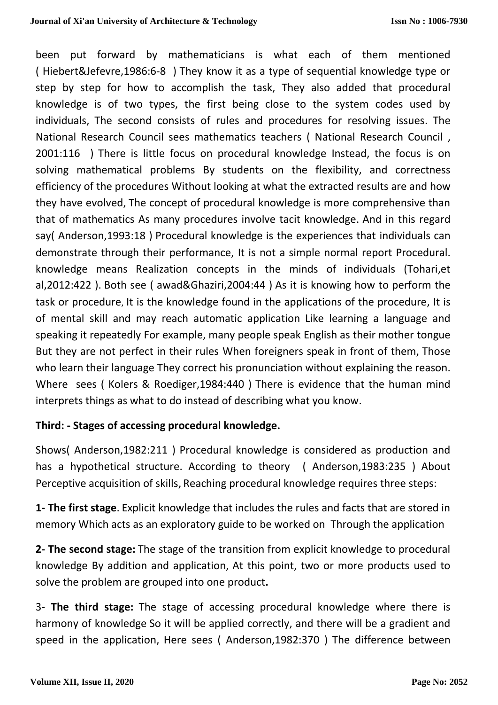been put forward by mathematicians is what each of them mentioned ( Hiebert&Jefevre,1986:6-8 ) They know it as a type of sequential knowledge type or step by step for how to accomplish the task, They also added that procedural knowledge is of two types, the first being close to the system codes used by individuals, The second consists of rules and procedures for resolving issues. The National Research Council sees mathematics teachers ( National Research Council , 2001:116 ) There is little focus on procedural knowledge Instead, the focus is on solving mathematical problems By students on the flexibility, and correctness efficiency of the procedures Without looking at what the extracted results are and how they have evolved, The concept of procedural knowledge is more comprehensive than that of mathematics As many procedures involve tacit knowledge. And in this regard say( Anderson,1993:18 ) Procedural knowledge is the experiences that individuals can demonstrate through their performance, It is not a simple normal report Procedural. knowledge means Realization concepts in the minds of individuals (Tohari,et al,2012:422 ). Both see ( awad&Ghaziri,2004:44 ) As it is knowing how to perform the task or procedure, It is the knowledge found in the applications of the procedure, It is of mental skill and may reach automatic application Like learning a language and speaking it repeatedly For example, many people speak English as their mother tongue But they are not perfect in their rules When foreigners speak in front of them, Those who learn their language They correct his pronunciation without explaining the reason. Where sees ( Kolers & Roediger,1984:440 ) There is evidence that the human mind interprets things as what to do instead of describing what you know.

## **Third: - Stages of accessing procedural knowledge.**

Shows( Anderson,1982:211 ) Procedural knowledge is considered as production and has a hypothetical structure. According to theory ( Anderson,1983:235 ) About Perceptive acquisition of skills, Reaching procedural knowledge requires three steps:

**1- The first stage**. Explicit knowledge that includes the rules and facts that are stored in memory Which acts as an exploratory guide to be worked on Through the application

**2- The second stage:** The stage of the transition from explicit knowledge to procedural knowledge By addition and application, At this point, two or more products used to solve the problem are grouped into one product**.**

3- **The third stage:** The stage of accessing procedural knowledge where there is harmony of knowledge So it will be applied correctly, and there will be a gradient and speed in the application, Here sees ( Anderson,1982:370 ) The difference between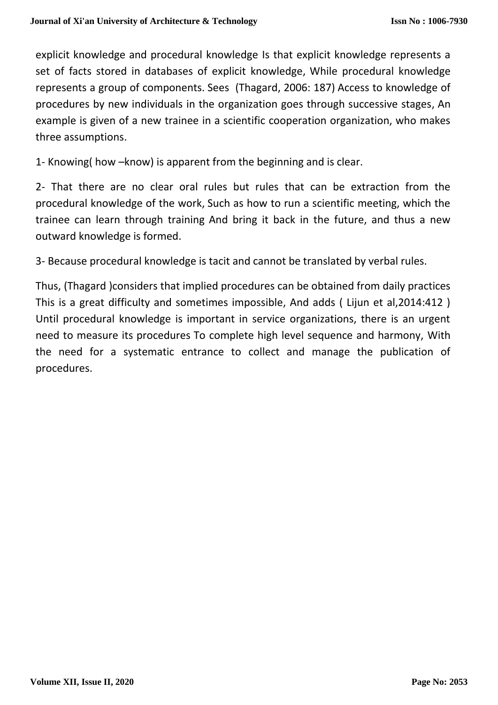explicit knowledge and procedural knowledge Is that explicit knowledge represents a set of facts stored in databases of explicit knowledge, While procedural knowledge represents a group of components. Sees (Thagard, 2006: 187) Access to knowledge of procedures by new individuals in the organization goes through successive stages, An example is given of a new trainee in a scientific cooperation organization, who makes three assumptions.

1- Knowing( how –know) is apparent from the beginning and is clear.

2- That there are no clear oral rules but rules that can be extraction from the procedural knowledge of the work, Such as how to run a scientific meeting, which the trainee can learn through training And bring it back in the future, and thus a new outward knowledge is formed.

3- Because procedural knowledge is tacit and cannot be translated by verbal rules.

Thus, (Thagard )considers that implied procedures can be obtained from daily practices This is a great difficulty and sometimes impossible, And adds ( Lijun et al,2014:412 ) Until procedural knowledge is important in service organizations, there is an urgent need to measure its procedures To complete high level sequence and harmony, With the need for a systematic entrance to collect and manage the publication of procedures.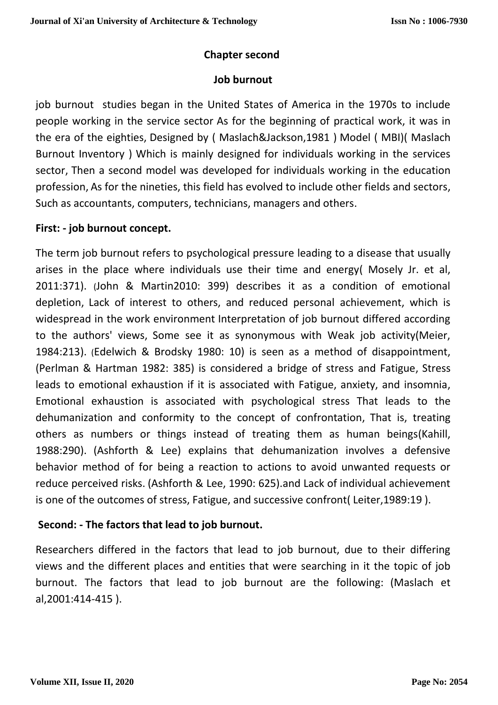## **Chapter second**

#### **Job burnout**

job burnout studies began in the United States of America in the 1970s to include people working in the service sector As for the beginning of practical work, it was in the era of the eighties, Designed by ( Maslach&Jackson,1981 ) Model ( MBI)( Maslach Burnout Inventory ) Which is mainly designed for individuals working in the services sector, Then a second model was developed for individuals working in the education profession, As for the nineties, this field has evolved to include other fields and sectors, Such as accountants, computers, technicians, managers and others.

### **First: - job burnout concept.**

The term job burnout refers to psychological pressure leading to a disease that usually arises in the place where individuals use their time and energy( Mosely Jr. et al, 2011:371). (John & Martin2010: 399) describes it as a condition of emotional depletion, Lack of interest to others, and reduced personal achievement, which is widespread in the work environment Interpretation of job burnout differed according to the authors' views, Some see it as synonymous with Weak job activity(Meier, 1984:213). (Edelwich & Brodsky 1980: 10) is seen as a method of disappointment, (Perlman & Hartman 1982: 385) is considered a bridge of stress and Fatigue, Stress leads to emotional exhaustion if it is associated with Fatigue, anxiety, and insomnia, Emotional exhaustion is associated with psychological stress That leads to the dehumanization and conformity to the concept of confrontation, That is, treating others as numbers or things instead of treating them as human beings(Kahill, 1988:290). (Ashforth & Lee) explains that dehumanization involves a defensive behavior method of for being a reaction to actions to avoid unwanted requests or reduce perceived risks. (Ashforth & Lee, 1990: 625).and Lack of individual achievement is one of the outcomes of stress, Fatigue, and successive confront( Leiter,1989:19 ).

## **Second: - The factors that lead to job burnout.**

Researchers differed in the factors that lead to job burnout, due to their differing views and the different places and entities that were searching in it the topic of job burnout. The factors that lead to job burnout are the following: (Maslach et al,2001:414-415 ).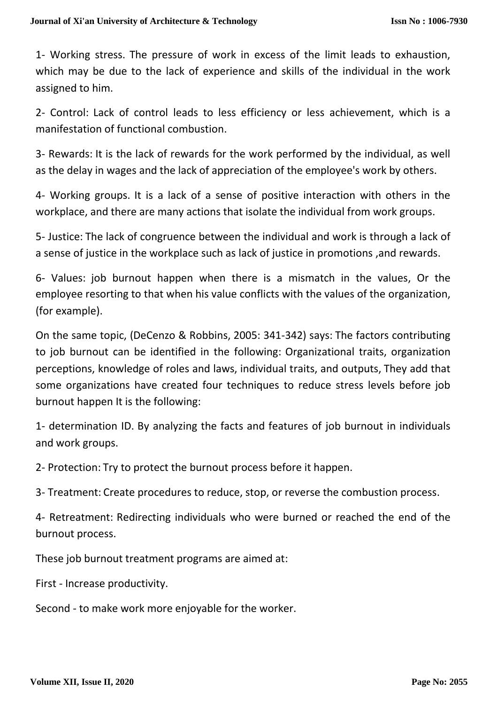1- Working stress. The pressure of work in excess of the limit leads to exhaustion, which may be due to the lack of experience and skills of the individual in the work assigned to him.

2- Control: Lack of control leads to less efficiency or less achievement, which is a manifestation of functional combustion.

3- Rewards: It is the lack of rewards for the work performed by the individual, as well as the delay in wages and the lack of appreciation of the employee's work by others.

4- Working groups. It is a lack of a sense of positive interaction with others in the workplace, and there are many actions that isolate the individual from work groups.

5- Justice: The lack of congruence between the individual and work is through a lack of a sense of justice in the workplace such as lack of justice in promotions ,and rewards.

6- Values: job burnout happen when there is a mismatch in the values, Or the employee resorting to that when his value conflicts with the values of the organization, (for example).

On the same topic, (DeCenzo & Robbins, 2005: 341-342) says: The factors contributing to job burnout can be identified in the following: Organizational traits, organization perceptions, knowledge of roles and laws, individual traits, and outputs, They add that some organizations have created four techniques to reduce stress levels before job burnout happen It is the following:

1- determination ID. By analyzing the facts and features of job burnout in individuals and work groups.

2- Protection: Try to protect the burnout process before it happen.

3- Treatment: Create procedures to reduce, stop, or reverse the combustion process.

4- Retreatment: Redirecting individuals who were burned or reached the end of the burnout process.

These job burnout treatment programs are aimed at:

First - Increase productivity.

Second - to make work more enjoyable for the worker.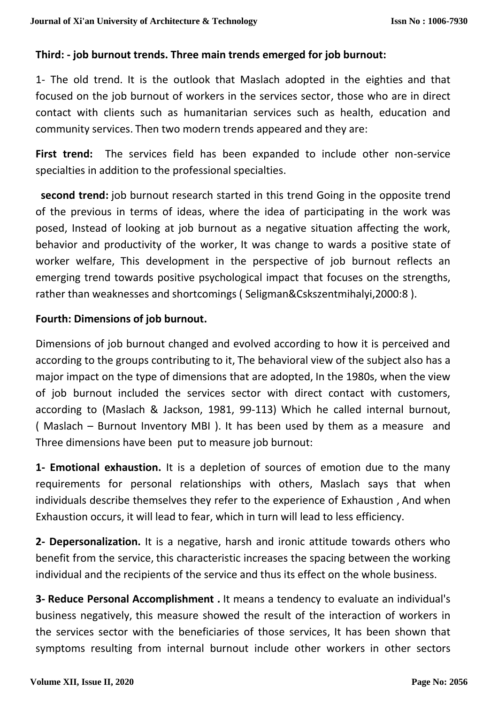## **Third: - job burnout trends. Three main trends emerged for job burnout:**

1- The old trend. It is the outlook that Maslach adopted in the eighties and that focused on the job burnout of workers in the services sector, those who are in direct contact with clients such as humanitarian services such as health, education and community services. Then two modern trends appeared and they are:

First trend: The services field has been expanded to include other non-service specialties in addition to the professional specialties.

 **second trend:** job burnout research started in this trend Going in the opposite trend of the previous in terms of ideas, where the idea of participating in the work was posed, Instead of looking at job burnout as a negative situation affecting the work, behavior and productivity of the worker, It was change to wards a positive state of worker welfare, This development in the perspective of job burnout reflects an emerging trend towards positive psychological impact that focuses on the strengths, rather than weaknesses and shortcomings ( Seligman&Cskszentmihalyi,2000:8 ).

### **Fourth: Dimensions of job burnout.**

Dimensions of job burnout changed and evolved according to how it is perceived and according to the groups contributing to it, The behavioral view of the subject also has a major impact on the type of dimensions that are adopted, In the 1980s, when the view of job burnout included the services sector with direct contact with customers, according to (Maslach & Jackson, 1981, 99-113) Which he called internal burnout, ( Maslach – Burnout Inventory MBI ). It has been used by them as a measure and Three dimensions have been put to measure job burnout:

**1- Emotional exhaustion.** It is a depletion of sources of emotion due to the many requirements for personal relationships with others, Maslach says that when individuals describe themselves they refer to the experience of Exhaustion , And when Exhaustion occurs, it will lead to fear, which in turn will lead to less efficiency.

**2- Depersonalization.** It is a negative, harsh and ironic attitude towards others who benefit from the service, this characteristic increases the spacing between the working individual and the recipients of the service and thus its effect on the whole business.

**3- Reduce Personal Accomplishment .** It means a tendency to evaluate an individual's business negatively, this measure showed the result of the interaction of workers in the services sector with the beneficiaries of those services, It has been shown that symptoms resulting from internal burnout include other workers in other sectors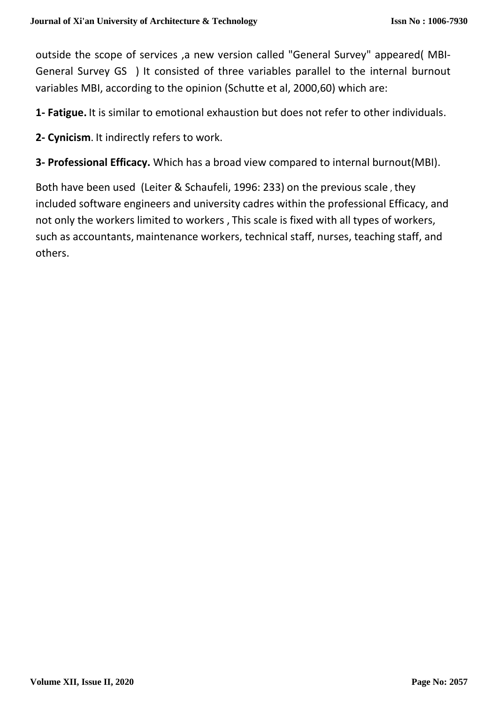outside the scope of services ,a new version called "General Survey" appeared( MBI-General Survey GS ) It consisted of three variables parallel to the internal burnout variables MBI, according to the opinion (Schutte et al, 2000,60) which are:

**1- Fatigue.** It is similar to emotional exhaustion but does not refer to other individuals.

**2- Cynicism**. It indirectly refers to work.

**3- Professional Efficacy.** Which has a broad view compared to internal burnout(MBI).

Both have been used (Leiter & Schaufeli, 1996: 233) on the previous scale , they included software engineers and university cadres within the professional Efficacy, and not only the workers limited to workers , This scale is fixed with all types of workers, such as accountants, maintenance workers, technical staff, nurses, teaching staff, and others.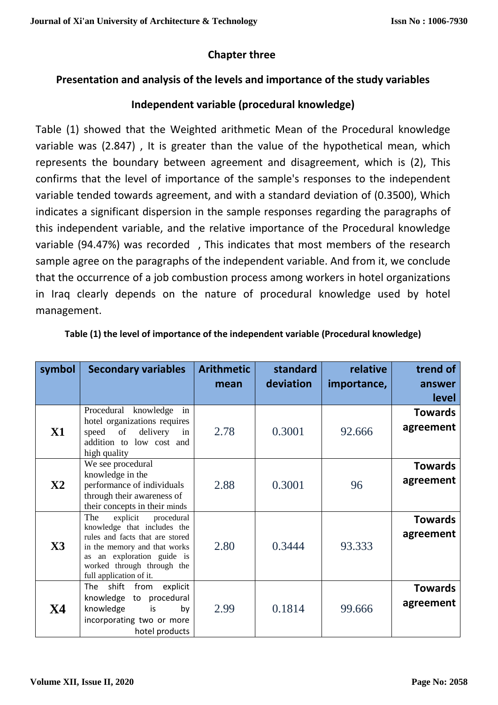## **Chapter three**

## **Presentation and analysis of the levels and importance of the study variables**

## **Independent variable (procedural knowledge)**

Table (1) showed that the Weighted arithmetic Mean of the Procedural knowledge variable was (2.847) , It is greater than the value of the hypothetical mean, which represents the boundary between agreement and disagreement, which is (2), This confirms that the level of importance of the sample's responses to the independent variable tended towards agreement, and with a standard deviation of (0.3500), Which indicates a significant dispersion in the sample responses regarding the paragraphs of this independent variable, and the relative importance of the Procedural knowledge variable (94.47%) was recorded , This indicates that most members of the research sample agree on the paragraphs of the independent variable. And from it, we conclude that the occurrence of a job combustion process among workers in hotel organizations in Iraq clearly depends on the nature of procedural knowledge used by hotel management.

| symbol         | <b>Secondary variables</b>                                                                                                                                                                                                                                                                                                                                                                                                                            | <b>Arithmetic</b><br>mean | standard<br>deviation | relative<br>importance, | trend of<br>answer<br><b>level</b> |
|----------------|-------------------------------------------------------------------------------------------------------------------------------------------------------------------------------------------------------------------------------------------------------------------------------------------------------------------------------------------------------------------------------------------------------------------------------------------------------|---------------------------|-----------------------|-------------------------|------------------------------------|
| <b>X1</b>      | Procedural knowledge<br>in<br>hotel organizations requires<br>delivery in<br>speed<br>of<br>addition to low cost and<br>high quality                                                                                                                                                                                                                                                                                                                  | 2.78                      | 0.3001                | 92.666                  | <b>Towards</b><br>agreement        |
| $\mathbf{X}2$  | We see procedural<br>knowledge in the<br>performance of individuals<br>through their awareness of<br>their concepts in their minds                                                                                                                                                                                                                                                                                                                    | 2.88                      | 0.3001                | 96                      | <b>Towards</b><br>agreement        |
| $\mathbf{X}$ 3 | The<br>explicit<br>procedural<br>knowledge that includes the<br>rules and facts that are stored<br>in the memory and that works<br>an exploration guide is<br>as and the set of the set of the set of the set of the set of the set of the set of the set of the set of the set of the set of the set of the set of the set of the set of the set of the set of the set of the set of the se<br>worked through through the<br>full application of it. | 2.80                      | 0.3444                | 93.333                  | <b>Towards</b><br>agreement        |
| <b>X4</b>      | explicit<br>The<br>shift<br>from<br>knowledge to procedural<br>knowledge<br>is<br>by<br>incorporating two or more<br>hotel products                                                                                                                                                                                                                                                                                                                   | 2.99                      | 0.1814                | 99.666                  | <b>Towards</b><br>agreement        |

|  |  | Table (1) the level of importance of the independent variable (Procedural knowledge) |  |
|--|--|--------------------------------------------------------------------------------------|--|
|--|--|--------------------------------------------------------------------------------------|--|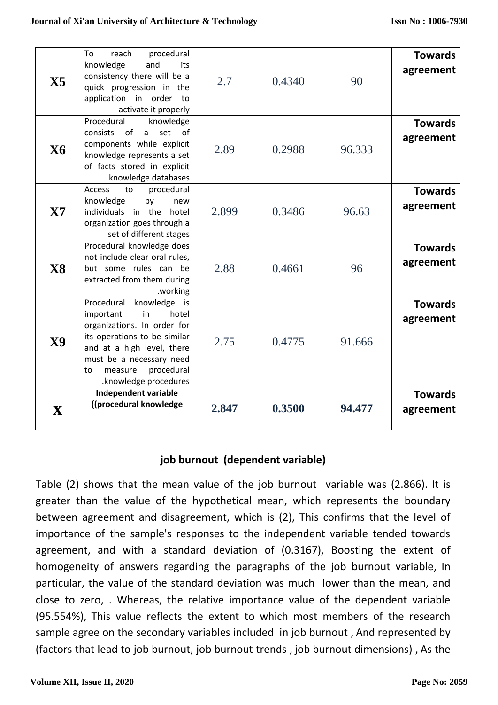| $\mathbf{X}$ 5 | procedural<br>Tο.<br>reach<br>knowledge<br>and<br>its<br>consistency there will be a<br>quick progression in the<br>application in order<br>to t<br>activate it properly                                                             | 2.7   | 0.4340 | 90     | <b>Towards</b><br>agreement |
|----------------|--------------------------------------------------------------------------------------------------------------------------------------------------------------------------------------------------------------------------------------|-------|--------|--------|-----------------------------|
| <b>X6</b>      | Procedural<br>knowledge<br>of<br>$\mathsf{a}$<br>set<br>0f<br><b>consists</b><br>components while explicit<br>knowledge represents a set<br>of facts stored in explicit<br>.knowledge databases                                      | 2.89  | 0.2988 | 96.333 | <b>Towards</b><br>agreement |
| $\mathbf{X}$   | Access<br>procedural<br>to<br>knowledge<br>by<br>new<br>individuals in the<br>hotel<br>organization goes through a<br>set of different stages                                                                                        | 2.899 | 0.3486 | 96.63  | <b>Towards</b><br>agreement |
| <b>X8</b>      | Procedural knowledge does<br>not include clear oral rules,<br>but some rules can be<br>extracted from them during<br>.working                                                                                                        | 2.88  | 0.4661 | 96     | <b>Towards</b><br>agreement |
| $\bf X9$       | Procedural knowledge is<br>in<br>hotel<br>important<br>organizations. In order for<br>its operations to be similar<br>and at a high level, there<br>must be a necessary need<br>procedural<br>to<br>measure<br>.knowledge procedures | 2.75  | 0.4775 | 91.666 | <b>Towards</b><br>agreement |
| $\mathbf{X}$   | Independent variable<br>((procedural knowledge                                                                                                                                                                                       | 2.847 | 0.3500 | 94.477 | <b>Towards</b><br>agreement |

# **job burnout (dependent variable)**

Table (2) shows that the mean value of the job burnout variable was (2.866). It is greater than the value of the hypothetical mean, which represents the boundary between agreement and disagreement, which is (2), This confirms that the level of importance of the sample's responses to the independent variable tended towards agreement, and with a standard deviation of (0.3167), Boosting the extent of homogeneity of answers regarding the paragraphs of the job burnout variable, In particular, the value of the standard deviation was much lower than the mean, and close to zero, . Whereas, the relative importance value of the dependent variable (95.554%), This value reflects the extent to which most members of the research sample agree on the secondary variables included in job burnout , And represented by (factors that lead to job burnout, job burnout trends , job burnout dimensions) , As the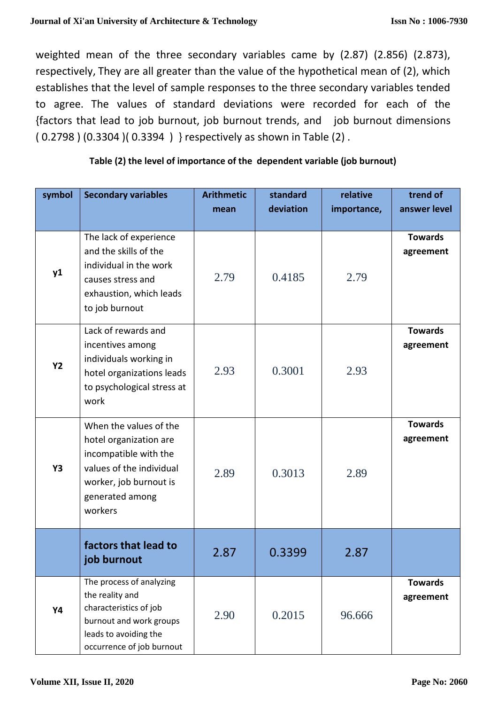weighted mean of the three secondary variables came by (2.87) (2.856) (2.873), respectively, They are all greater than the value of the hypothetical mean of (2), which establishes that the level of sample responses to the three secondary variables tended to agree. The values of standard deviations were recorded for each of the {factors that lead to job burnout, job burnout trends, and job burnout dimensions ( 0.2798 ) (0.3304 )( 0.3394 ) } respectively as shown in Table (2) .

| Table (2) the level of importance of the dependent variable (job burnout) |  |
|---------------------------------------------------------------------------|--|
|                                                                           |  |

| symbol    | <b>Secondary variables</b>                                                                                                                                    | <b>Arithmetic</b><br>mean | standard<br>deviation | relative<br>importance, | trend of<br>answer level    |
|-----------|---------------------------------------------------------------------------------------------------------------------------------------------------------------|---------------------------|-----------------------|-------------------------|-----------------------------|
|           |                                                                                                                                                               |                           |                       |                         |                             |
| y1        | The lack of experience<br>and the skills of the<br>individual in the work<br>causes stress and<br>exhaustion, which leads<br>to job burnout                   | 2.79                      | 0.4185                | 2.79                    | <b>Towards</b><br>agreement |
| <b>Y2</b> | Lack of rewards and<br>incentives among<br>individuals working in<br>hotel organizations leads<br>to psychological stress at<br>work                          | 2.93                      | 0.3001                | 2.93                    | <b>Towards</b><br>agreement |
| <b>Y3</b> | When the values of the<br>hotel organization are<br>incompatible with the<br>values of the individual<br>worker, job burnout is<br>generated among<br>workers | 2.89                      | 0.3013                | 2.89                    | <b>Towards</b><br>agreement |
|           | factors that lead to<br>job burnout                                                                                                                           | 2.87                      | 0.3399                | 2.87                    |                             |
| Y4        | The process of analyzing<br>the reality and<br>characteristics of job<br>burnout and work groups<br>leads to avoiding the<br>occurrence of job burnout        | 2.90                      | 0.2015                | 96.666                  | <b>Towards</b><br>agreement |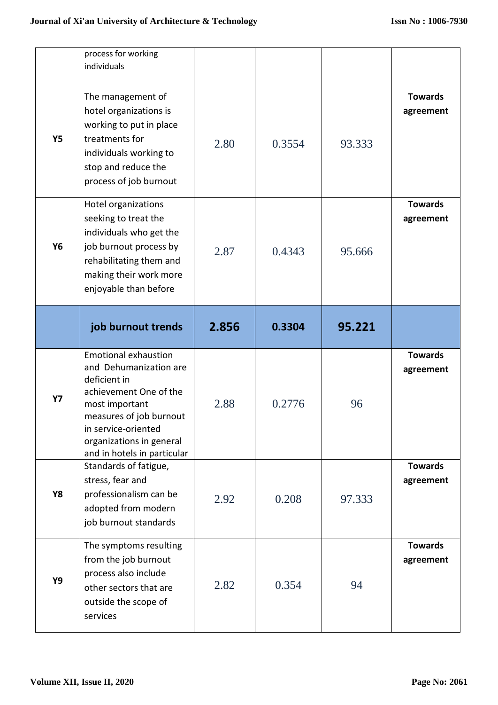|           | process for working<br>individuals<br>The management of<br>hotel organizations is<br>working to put in place                                                                                    |       |        |        | <b>Towards</b><br>agreement |
|-----------|-------------------------------------------------------------------------------------------------------------------------------------------------------------------------------------------------|-------|--------|--------|-----------------------------|
| <b>Y5</b> | treatments for<br>individuals working to<br>stop and reduce the<br>process of job burnout                                                                                                       | 2.80  | 0.3554 | 93.333 |                             |
| Y6        | Hotel organizations<br>seeking to treat the<br>individuals who get the<br>job burnout process by<br>rehabilitating them and<br>making their work more<br>enjoyable than before                  | 2.87  | 0.4343 | 95.666 | <b>Towards</b><br>agreement |
|           | job burnout trends                                                                                                                                                                              | 2.856 | 0.3304 | 95.221 |                             |
|           |                                                                                                                                                                                                 |       |        |        |                             |
| <b>Y7</b> | <b>Emotional exhaustion</b><br>and Dehumanization are<br>deficient in<br>achievement One of the<br>most important<br>measures of job burnout<br>in service-oriented<br>organizations in general | 2.88  | 0.2776 | 96     | <b>Towards</b><br>agreement |
| <b>Y8</b> | and in hotels in particular<br>Standards of fatigue,<br>stress, fear and<br>professionalism can be<br>adopted from modern<br>job burnout standards                                              | 2.92  | 0.208  | 97.333 | <b>Towards</b><br>agreement |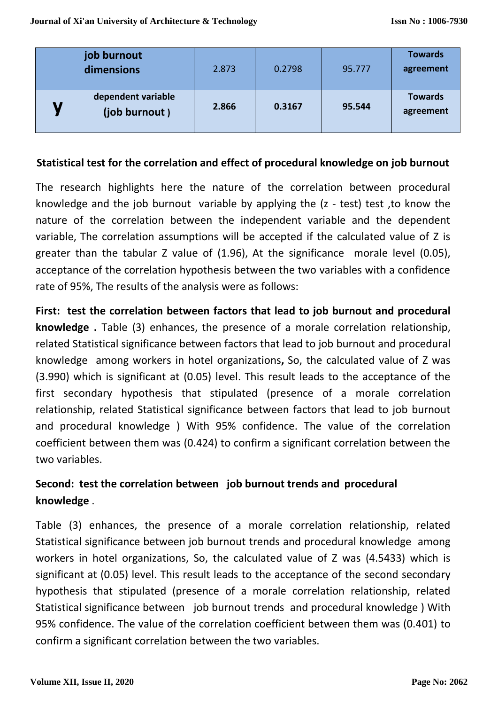|                           | job burnout<br>dimensions           | 2.873 | 0.2798 | 95.777 | <b>Towards</b><br>agreement |
|---------------------------|-------------------------------------|-------|--------|--------|-----------------------------|
| $\boldsymbol{\mathsf{M}}$ | dependent variable<br>(job burnout) | 2.866 | 0.3167 | 95.544 | <b>Towards</b><br>agreement |

#### **Statistical test for the correlation and effect of procedural knowledge on job burnout**

The research highlights here the nature of the correlation between procedural knowledge and the job burnout variable by applying the (z - test) test ,to know the nature of the correlation between the independent variable and the dependent variable, The correlation assumptions will be accepted if the calculated value of Z is greater than the tabular Z value of (1.96), At the significance morale level (0.05), acceptance of the correlation hypothesis between the two variables with a confidence rate of 95%, The results of the analysis were as follows:

**First: test the correlation between factors that lead to job burnout and procedural knowledge .** Table (3) enhances, the presence of a morale correlation relationship, related Statistical significance between factors that lead to job burnout and procedural knowledge among workers in hotel organizations**,** So, the calculated value of Z was (3.990) which is significant at (0.05) level. This result leads to the acceptance of the first secondary hypothesis that stipulated (presence of a morale correlation relationship, related Statistical significance between factors that lead to job burnout and procedural knowledge ) With 95% confidence. The value of the correlation coefficient between them was (0.424) to confirm a significant correlation between the two variables.

# **Second: test the correlation between job burnout trends and procedural knowledge** .

Table (3) enhances, the presence of a morale correlation relationship, related Statistical significance between job burnout trends and procedural knowledge among workers in hotel organizations, So, the calculated value of Z was (4.5433) which is significant at (0.05) level. This result leads to the acceptance of the second secondary hypothesis that stipulated (presence of a morale correlation relationship, related Statistical significance between job burnout trends and procedural knowledge ) With 95% confidence. The value of the correlation coefficient between them was (0.401) to confirm a significant correlation between the two variables.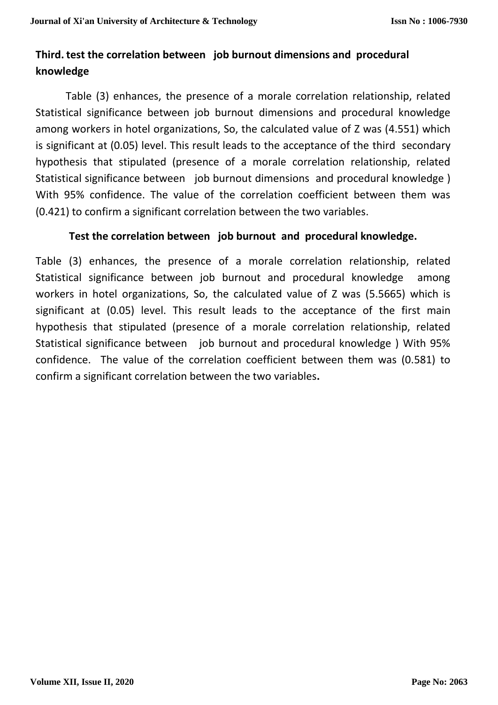# **Third. test the correlation between job burnout dimensions and procedural knowledge**

Table (3) enhances, the presence of a morale correlation relationship, related Statistical significance between job burnout dimensions and procedural knowledge among workers in hotel organizations, So, the calculated value of Z was (4.551) which is significant at (0.05) level. This result leads to the acceptance of the third secondary hypothesis that stipulated (presence of a morale correlation relationship, related Statistical significance between job burnout dimensions and procedural knowledge ) With 95% confidence. The value of the correlation coefficient between them was (0.421) to confirm a significant correlation between the two variables.

### **Test the correlation between job burnout and procedural knowledge.**

Table (3) enhances, the presence of a morale correlation relationship, related Statistical significance between job burnout and procedural knowledge among workers in hotel organizations, So, the calculated value of Z was (5.5665) which is significant at (0.05) level. This result leads to the acceptance of the first main hypothesis that stipulated (presence of a morale correlation relationship, related Statistical significance between job burnout and procedural knowledge ) With 95% confidence. The value of the correlation coefficient between them was (0.581) to confirm a significant correlation between the two variables**.**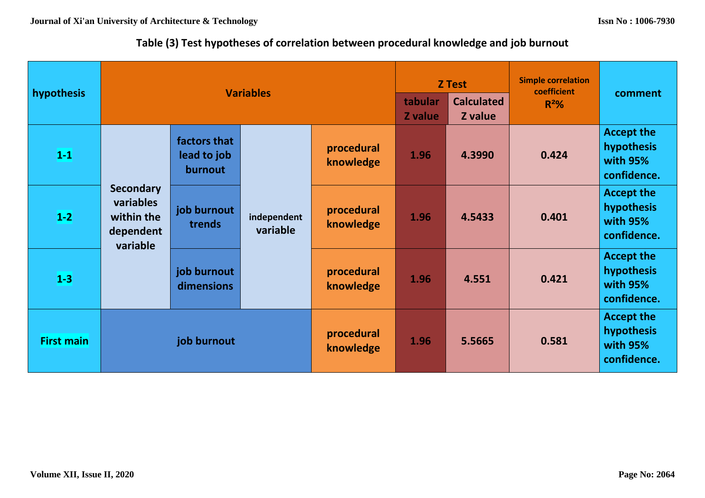# **Table (3) Test hypotheses of correlation between procedural knowledge and job burnout**

| hypothesis        | <b>Variables</b>                                                     |                                        |                         | <b>Z</b> Test           |                    | <b>Simple correlation</b><br>coefficient | comment |                                                            |
|-------------------|----------------------------------------------------------------------|----------------------------------------|-------------------------|-------------------------|--------------------|------------------------------------------|---------|------------------------------------------------------------|
|                   |                                                                      |                                        |                         |                         | tabular<br>Z value | <b>Calculated</b><br>Z value             | $R^2%$  |                                                            |
| $1-1$             |                                                                      | factors that<br>lead to job<br>burnout | independent<br>variable | procedural<br>knowledge | 1.96               | 4.3990                                   | 0.424   | <b>Accept the</b><br>hypothesis<br>with 95%<br>confidence. |
| $1-2$             | <b>Secondary</b><br>variables<br>within the<br>dependent<br>variable | job burnout<br>trends                  |                         | procedural<br>knowledge | 1.96               | 4.5433                                   | 0.401   | <b>Accept the</b><br>hypothesis<br>with 95%<br>confidence. |
| $1-3$             |                                                                      | job burnout<br>dimensions              |                         | procedural<br>knowledge | 1.96               | 4.551                                    | 0.421   | <b>Accept the</b><br>hypothesis<br>with 95%<br>confidence. |
| <b>First main</b> | job burnout                                                          |                                        |                         | procedural<br>knowledge | 1.96               | 5.5665                                   | 0.581   | <b>Accept the</b><br>hypothesis<br>with 95%<br>confidence. |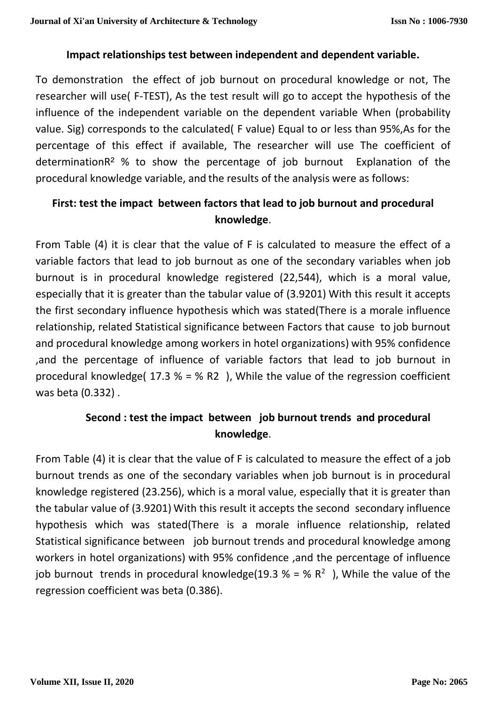### **Impact relationships test between independent and dependent variable.**

To demonstration the effect of job burnout on procedural knowledge or not, The researcher will use( F-TEST), As the test result will go to accept the hypothesis of the influence of the independent variable on the dependent variable When (probability value. Sig) corresponds to the calculated( F value) Equal to or less than 95%,As for the percentage of this effect if available, The researcher will use The coefficient of determinationR² % to show the percentage of job burnout Explanation of the procedural knowledge variable, and the results of the analysis were as follows:

# **First: test the impact between factors that lead to job burnout and procedural knowledge**.

From Table (4) it is clear that the value of F is calculated to measure the effect of a variable factors that lead to job burnout as one of the secondary variables when job burnout is in procedural knowledge registered (22,544), which is a moral value, especially that it is greater than the tabular value of (3.9201) With this result it accepts the first secondary influence hypothesis which was stated(There is a morale influence relationship, related Statistical significance between Factors that cause to job burnout and procedural knowledge among workers in hotel organizations) with 95% confidence ,and the percentage of influence of variable factors that lead to job burnout in procedural knowledge(  $17.3$  % = % R2 ), While the value of the regression coefficient was beta (0.332) .

# **Second : test the impact between job burnout trends and procedural knowledge**.

From Table (4) it is clear that the value of F is calculated to measure the effect of a job burnout trends as one of the secondary variables when job burnout is in procedural knowledge registered (23.256), which is a moral value, especially that it is greater than the tabular value of (3.9201) With this result it accepts the second secondary influence hypothesis which was stated(There is a morale influence relationship, related Statistical significance between job burnout trends and procedural knowledge among workers in hotel organizations) with 95% confidence ,and the percentage of influence job burnout trends in procedural knowledge(19.3  $% = \% R^{2}$ ), While the value of the regression coefficient was beta (0.386).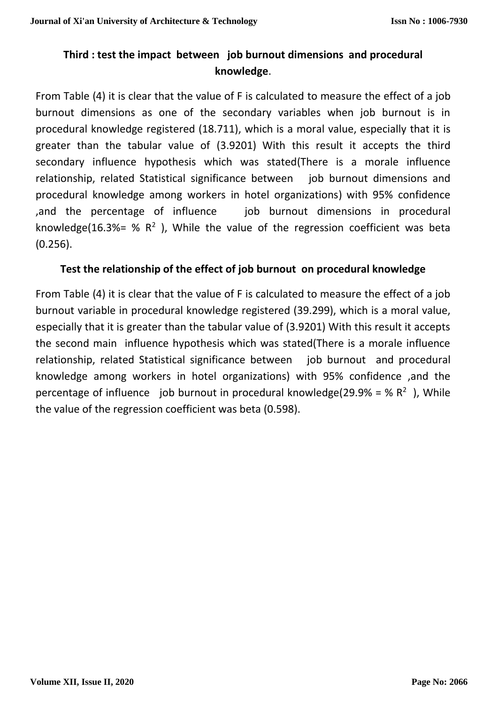# **Third : test the impact between job burnout dimensions and procedural knowledge**.

From Table (4) it is clear that the value of F is calculated to measure the effect of a job burnout dimensions as one of the secondary variables when job burnout is in procedural knowledge registered (18.711), which is a moral value, especially that it is greater than the tabular value of (3.9201) With this result it accepts the third secondary influence hypothesis which was stated(There is a morale influence relationship, related Statistical significance between job burnout dimensions and procedural knowledge among workers in hotel organizations) with 95% confidence ,and the percentage of influence job burnout dimensions in procedural knowledge(16.3%= %  $R^2$ ), While the value of the regression coefficient was beta (0.256).

## **Test the relationship of the effect of job burnout on procedural knowledge**

From Table (4) it is clear that the value of F is calculated to measure the effect of a job burnout variable in procedural knowledge registered (39.299), which is a moral value, especially that it is greater than the tabular value of (3.9201) With this result it accepts the second main influence hypothesis which was stated(There is a morale influence relationship, related Statistical significance between job burnout and procedural knowledge among workers in hotel organizations) with 95% confidence ,and the percentage of influence job burnout in procedural knowledge(29.9% = %  $R^2$ ), While the value of the regression coefficient was beta (0.598).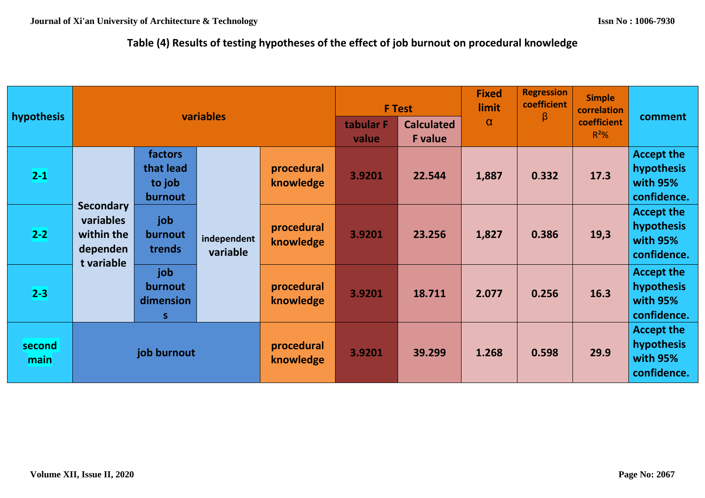# **Table (4) Results of testing hypotheses of the effect of job burnout on procedural knowledge**

| hypothesis     | variables                                                             |                                           |                         | <b>F</b> Test           |                                     | <b>Regression</b><br><b>Fixed</b><br>coefficient<br>limit | <b>Simple</b><br>correlation | comment                |                                                            |                                                            |                                                            |
|----------------|-----------------------------------------------------------------------|-------------------------------------------|-------------------------|-------------------------|-------------------------------------|-----------------------------------------------------------|------------------------------|------------------------|------------------------------------------------------------|------------------------------------------------------------|------------------------------------------------------------|
|                |                                                                       |                                           |                         | tabular F<br>value      | <b>Calculated</b><br><b>F</b> value | $\alpha$                                                  | $\beta$                      | coefficient<br>$R^2\%$ |                                                            |                                                            |                                                            |
| $2 - 1$        |                                                                       | factors<br>that lead<br>to job<br>burnout | independent<br>variable | procedural<br>knowledge | 3.9201                              | 22.544                                                    | 1,887                        | 0.332                  | 17.3                                                       | <b>Accept the</b><br>hypothesis<br>with 95%<br>confidence. |                                                            |
| $2 - 2$        | <b>Secondary</b><br>variables<br>within the<br>dependen<br>t variable | job<br>burnout<br>trends                  |                         | procedural<br>knowledge | 3.9201                              | 23.256                                                    | 1,827                        | 0.386                  | 19,3                                                       | <b>Accept the</b><br>hypothesis<br>with 95%<br>confidence. |                                                            |
| $2 - 3$        |                                                                       | job<br>burnout<br>dimension<br>S          |                         |                         | procedural<br>knowledge             | 3.9201                                                    | 18.711                       | 2.077                  | 0.256                                                      | 16.3                                                       | <b>Accept the</b><br>hypothesis<br>with 95%<br>confidence. |
| second<br>main | job burnout                                                           |                                           | procedural<br>knowledge | 3.9201                  | 39.299                              | 1.268                                                     | 0.598                        | 29.9                   | <b>Accept the</b><br>hypothesis<br>with 95%<br>confidence. |                                                            |                                                            |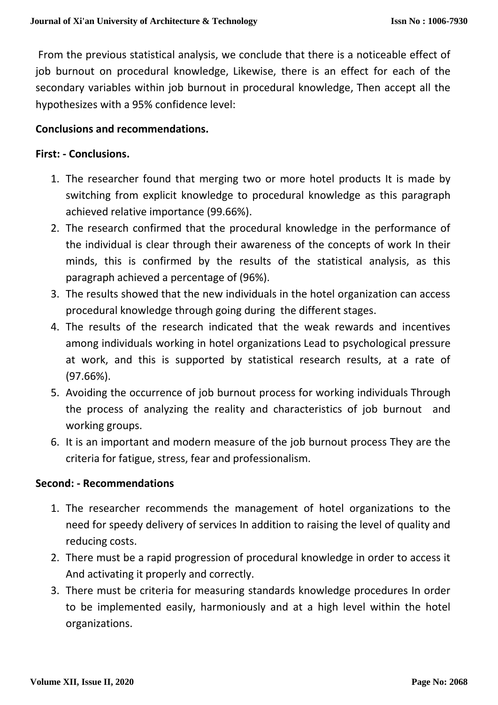From the previous statistical analysis, we conclude that there is a noticeable effect of job burnout on procedural knowledge, Likewise, there is an effect for each of the secondary variables within job burnout in procedural knowledge, Then accept all the hypothesizes with a 95% confidence level:

#### **Conclusions and recommendations.**

#### **First: - Conclusions.**

- 1. The researcher found that merging two or more hotel products It is made by switching from explicit knowledge to procedural knowledge as this paragraph achieved relative importance (99.66%).
- 2. The research confirmed that the procedural knowledge in the performance of the individual is clear through their awareness of the concepts of work In their minds, this is confirmed by the results of the statistical analysis, as this paragraph achieved a percentage of (96%).
- 3. The results showed that the new individuals in the hotel organization can access procedural knowledge through going during the different stages.
- 4. The results of the research indicated that the weak rewards and incentives among individuals working in hotel organizations Lead to psychological pressure at work, and this is supported by statistical research results, at a rate of (97.66%).
- 5. Avoiding the occurrence of job burnout process for working individuals Through the process of analyzing the reality and characteristics of job burnout and working groups.
- 6. It is an important and modern measure of the job burnout process They are the criteria for fatigue, stress, fear and professionalism.

#### **Second: - Recommendations**

- 1. The researcher recommends the management of hotel organizations to the need for speedy delivery of services In addition to raising the level of quality and reducing costs.
- 2. There must be a rapid progression of procedural knowledge in order to access it And activating it properly and correctly.
- 3. There must be criteria for measuring standards knowledge procedures In order to be implemented easily, harmoniously and at a high level within the hotel organizations.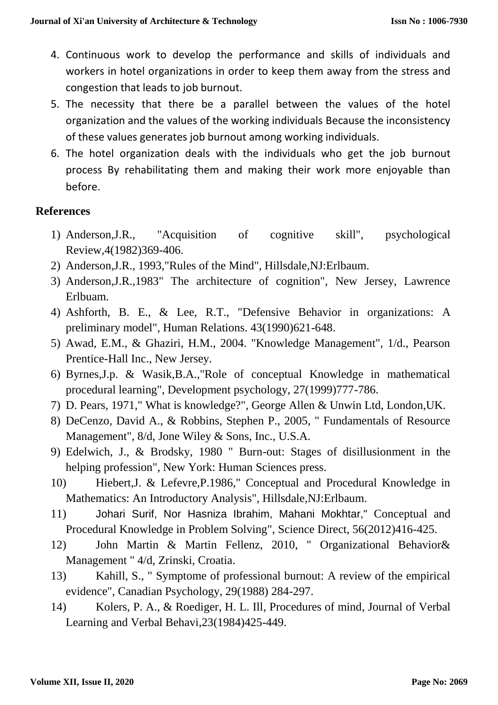- 4. Continuous work to develop the performance and skills of individuals and workers in hotel organizations in order to keep them away from the stress and congestion that leads to job burnout.
- 5. The necessity that there be a parallel between the values of the hotel organization and the values of the working individuals Because the inconsistency of these values generates job burnout among working individuals.
- 6. The hotel organization deals with the individuals who get the job burnout process By rehabilitating them and making their work more enjoyable than before.

## **References**

- 1) Anderson,J.R., "Acquisition of cognitive skill", psychological Review,4(1982)369-406.
- 2) Anderson,J.R., 1993,"Rules of the Mind", Hillsdale,NJ:Erlbaum.
- 3) Anderson,J.R.,1983" The architecture of cognition", New Jersey, Lawrence Erlbuam.
- 4) Ashforth, B. E., & Lee, R.T., "Defensive Behavior in organizations: A preliminary model", Human Relations. 43(1990)621-648.
- 5) Awad, E.M., & Ghaziri, H.M., 2004. "Knowledge Management", 1/d., Pearson Prentice-Hall Inc., New Jersey.
- 6) Byrnes,J.p. & Wasik,B.A.,"Role of conceptual Knowledge in mathematical procedural learning", Development psychology, 27(1999)777-786.
- 7) D. Pears, 1971," What is knowledge?", George Allen & Unwin Ltd, London,UK.
- 8) DeCenzo, David A., & Robbins, Stephen P., 2005, " Fundamentals of Resource Management", 8/d, Jone Wiley & Sons, Inc., U.S.A.
- 9) Edelwich, J., & Brodsky, 1980 " Burn-out: Stages of disillusionment in the helping profession", New York: Human Sciences press.
- 10) Hiebert,J. & Lefevre,P.1986," Conceptual and Procedural Knowledge in Mathematics: An Introductory Analysis", Hillsdale,NJ:Erlbaum.
- 11) Johari Surif, Nor Hasniza Ibrahim, Mahani Mokhtar," Conceptual and Procedural Knowledge in Problem Solving", Science Direct, 56(2012)416-425.
- 12) John Martin & Martin Fellenz, 2010, " Organizational Behavior& Management " 4/d, Zrinski, Croatia.
- 13) Kahill, S., " Symptome of professional burnout: A review of the empirical evidence", Canadian Psychology, 29(1988) 284-297.
- 14) Kolers, P. A., & Roediger, H. L. Ill, Procedures of mind, Journal of Verbal Learning and Verbal Behavi,23(1984)425-449.